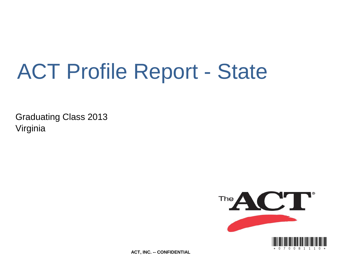# ACT Profile Report - State

Graduating Class 2013 Virginia



**ACT, INC. -- CONFIDENTIAL**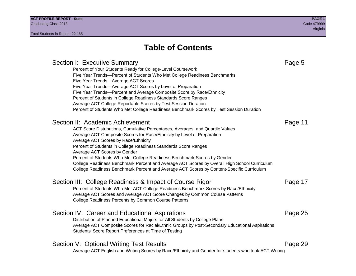# **Table of Contents**

### Section I: Executive Summary **Page 5** and the section I: Executive Summary Percent of Your Students Ready for College-Level Coursework Five Year Trends—Percent of Students Who Met College Readiness Benchmarks Five Year Trends—Average ACT Scores Five Year Trends—Average ACT Scores by Level of Preparation Five Year Trends—Percent and Average Composite Score by Race/Ethnicity Percent of Students in College Readiness Standards Score Ranges Average ACT College Reportable Scores by Test Session Duration Percent of Students Who Met College Readiness Benchmark Scores by Test Session Duration Section II: Academic Achievement **Page 11** Page 11 ACT Score Distributions, Cumulative Percentages, Averages, and Quartile Values Average ACT Composite Scores for Race/Ethnicity by Level of Preparation Average ACT Scores by Race/Ethnicity Percent of Students in College Readiness Standards Score Ranges Average ACT Scores by Gender Percent of Students Who Met College Readiness Benchmark Scores by Gender College Readiness Benchmark Percent and Average ACT Scores by Overall High School Curriculum College Readiness Benchmark Percent and Average ACT Scores by Content-Specific Curriculum Section III: College Readiness & Impact of Course Rigor Page 17 Percent of Students Who Met ACT College Readiness Benchmark Scores by Race/Ethnicity Average ACT Scores and Average ACT Score Changes by Common Course Patterns College Readiness Percents by Common Course Patterns Section IV: Career and Educational Aspirations **Page 25** Page 25 Distribution of Planned Educational Majors for All Students by College Plans Average ACT Composite Scores for Racial/Ethnic Groups by Post-Secondary Educational Aspirations Students' Score Report Preferences at Time of Testing Section V: Optional Writing Test Results **Page 29** Page 29 Average ACT English and Writing Scores by Race/Ethnicity and Gender for students who took ACT Writing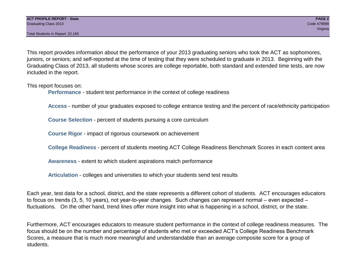Total Students in Report: 22,165

This report provides information about the performance of your 2013 graduating seniors who took the ACT as sophomores, juniors, or seniors; and self-reported at the time of testing that they were scheduled to graduate in 2013. Beginning with the Graduating Class of 2013, all students whose scores are college reportable, both standard and extended time tests, are now included in the report.

This report focuses on:

**Performance** - student test performance in the context of college readiness

**Access** - number of your graduates exposed to college entrance testing and the percent of race/ethnicity participation

**Course Selection** - percent of students pursuing a core curriculum

**Course Rigor** - impact of rigorous coursework on achievement

**College Readiness** - percent of students meeting ACT College Readiness Benchmark Scores in each content area

**Awareness** - extent to which student aspirations match performance

**Articulation** - colleges and universities to which your students send test results

Each year, test data for a school, district, and the state represents a different cohort of students. ACT encourages educators to focus on trends (3, 5, 10 years), not year-to-year changes. Such changes can represent normal – even expected – fluctuations. On the other hand, trend lines offer more insight into what is happening in a school, district, or the state.

Furthermore, ACT encourages educators to measure student performance in the context of college readiness measures. The focus should be on the number and percentage of students who met or exceeded ACT's College Readiness Benchmark Scores, a measure that is much more meaningful and understandable than an average composite score for a group of students.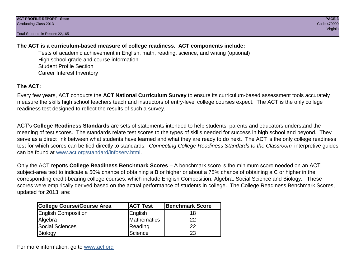Total Students in Report: 22,165

### **The ACT is a curriculum-based measure of college readiness. ACT components include:**

Tests of academic achievement in English, math, reading, science, and writing (optional) High school grade and course information Student Profile Section Career Interest Inventory

### **The ACT:**

Every few years, ACT conducts the **ACT National Curriculum Survey** to ensure its curriculum-based assessment tools accurately measure the skills high school teachers teach and instructors of entry-level college courses expect. The ACT is the only college readiness test designed to reflect the results of such a survey.

ACT's **College Readiness Standards** are sets of statements intended to help students, parents and educators understand the meaning of test scores. The standards relate test scores to the types of skills needed for success in high school and beyond. They serve as a direct link between what students have learned and what they are ready to do next. The ACT is the only college readiness test for which scores can be tied directly to standards. *Connecting College Readiness Standards to the Classroom* interpretive guides can be found at www.act.org/standard/infoserv.html.

Only the ACT reports **College Readiness Benchmark Scores** – A benchmark score is the minimum score needed on an ACT subject-area test to indicate a 50% chance of obtaining a B or higher or about a 75% chance of obtaining a C or higher in the corresponding credit-bearing college courses, which include English Composition, Algebra, Social Science and Biology. These scores were empirically derived based on the actual performance of students in college. The College Readiness Benchmark Scores, updated for 2013, are:

| College Course/Course Area | <b>ACT Test</b> | <b>Benchmark Score</b> |
|----------------------------|-----------------|------------------------|
| <b>English Composition</b> | English         | 18                     |
| Algebra                    | Mathematics     | 22                     |
| <b>Social Sciences</b>     | Reading         | 22                     |
| Biology                    | Science         | 23                     |

For more information, go to www.act.org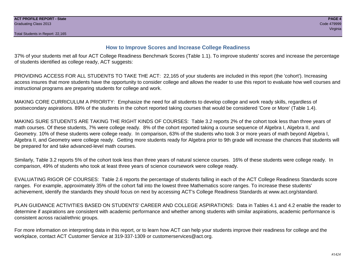#### **How to Improve Scores and Increase College Readiness**

37% of your students met all four ACT College Readiness Benchmark Scores (Table 1.1). To improve students' scores and increase the percentage of students identified as college ready, ACT suggests:

PROVIDING ACCESS FOR ALL STUDENTS TO TAKE THE ACT: 22,165 of your students are included in this report (the 'cohort'). Increasing access insures that more students have the opportunity to consider college and allows the reader to use this report to evaluate how well courses and instructional programs are preparing students for college and work.

MAKING CORE CURRICULUM A PRIORITY: Emphasize the need for all students to develop college and work ready skills, regardless of postsecondary aspirations. 89% of the students in the cohort reported taking courses that would be considered 'Core or More' (Table 1.4).

MAKING SURE STUDENTS ARE TAKING THE RIGHT KINDS OF COURSES: Table 3.2 reports 2% of the cohort took less than three years of math courses. Of these students, 7% were college ready. 8% of the cohort reported taking a course sequence of Algebra I, Algebra II, and Geometry. 10% of these students were college ready. In comparison, 63% of the students who took 3 or more years of math beyond Algebra I, Algebra II, and Geometry were college ready. Getting more students ready for Algebra prior to 9th grade will increase the chances that students will be prepared for and take advanced-level math courses.

Similarly, Table 3.2 reports 5% of the cohort took less than three years of natural science courses. 16% of these students were college ready. In comparison, 49% of students who took at least three years of science coursework were college ready.

EVALUATING RIGOR OF COURSES: Table 2.6 reports the percentage of students falling in each of the ACT College Readiness Standards score ranges. For example, approximately 35% of the cohort fall into the lowest three Mathematics score ranges. To increase these students' achievement, identify the standards they should focus on next by accessing ACT's College Readiness Standards at www.act.org/standard.

PLAN GUIDANCE ACTIVITIES BASED ON STUDENTS' CAREER AND COLLEGE ASPIRATIONS: Data in Tables 4.1 and 4.2 enable the reader to determine if aspirations are consistent with academic performance and whether among students with similar aspirations, academic performance is consistent across racial/ethnic groups.

For more information on interpreting data in this report, or to learn how ACT can help your students improve their readiness for college and the workplace, contact ACT Customer Service at 319-337-1309 or customerservices@act.org.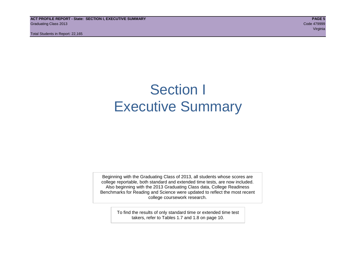**ACT PROFILE REPORT - State: SECTION I, EXECUTIVE SUMMARY PAGE 5** Graduating Class 2013 Code 479999

Total Students in Report: 22,165

e de la construcción de la construcción de la construcción de la construcción de la construcción de la construcción

# Section I Executive Summary

Beginning with the Graduating Class of 2013, all students whose scores are college reportable, both standard and extended time tests, are now included. Also beginning with the 2013 Graduating Class data, College Readiness Benchmarks for Reading and Science were updated to reflect the most recent college coursework research.

> To find the results of only standard time or extended time test takers, refer to Tables 1.7 and 1.8 on page 10.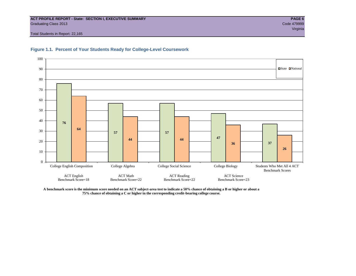### **ACT PROFILE REPORT - State: SECTION I, EXECUTIVE SUMMARY PAGE 6** Graduating Class 2013 Code 479999

Total Students in Report: 22,165





**A benchmark score is the minimum score needed on an ACT subject-area test to indicate a 50% chance of obtaining a B or higher or about a 75% chance of obtaining a C or higher in the corresponding credit-bearing college course.**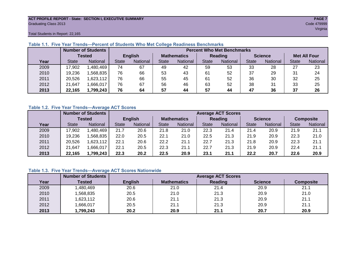#### **ACT PROFILE REPORT - State: SECTION I, EXECUTIVE SUMMARY PAGE 7** Graduating Class 2013 Code 479999

e de la construcción de la construcción de la construcción de la construcción de la construcción de la construcción

Total Students in Report: 22,165

|      |              | <b>Number of Students</b> |                | <b>Percent Who Met Benchmarks</b> |                    |          |              |          |                |          |                     |          |  |  |
|------|--------------|---------------------------|----------------|-----------------------------------|--------------------|----------|--------------|----------|----------------|----------|---------------------|----------|--|--|
|      |              | <b>Tested</b>             | <b>English</b> |                                   | <b>Mathematics</b> |          | Reading      |          | <b>Science</b> |          | <b>Met All Four</b> |          |  |  |
| Year | <b>State</b> | <b>National</b>           | <b>State</b>   | National<br>State                 |                    | National | <b>State</b> | National |                | National | <b>State</b>        | National |  |  |
| 2009 | 17,902       | ,480,469                  | 74             | 67                                | 49                 | 42       | 59           | 53       | 33             | 28       | 27                  | 23       |  |  |
| 2010 | 19,236       | .568.835                  | 76             | 66                                | 53                 | 43       | 61           | 52       | 37             | 29       | 31                  | 24       |  |  |
| 2011 | 20,526       | 623,112                   | 76             | 66                                | 55                 | 45       | 61           | 52       | 36             | 30       | 32                  | 25       |  |  |
| 2012 | 21,647       | .666,017                  | 76             | 67                                | 56                 | 46       | 63           | 52       | 38             | 31       | 33                  | 25       |  |  |
| 2013 | 22,165       | 1,799,243                 | 76             | 64                                | 57                 | 44       | 57           | 44       | 47             | 36       | 37                  | 26       |  |  |

#### **Table 1.1. Five Year Trends—Percent of Students Who Met College Readiness Benchmarks**

#### **Table 1.2. Five Year Trends—Average ACT Scores**

|      |              | <b>Number of Students</b> |              |                 |                    | <b>Average ACT Scores</b> |                |                 |                |          |                  |          |  |  |  |
|------|--------------|---------------------------|--------------|-----------------|--------------------|---------------------------|----------------|-----------------|----------------|----------|------------------|----------|--|--|--|
|      |              | Tested                    |              | <b>English</b>  | <b>Mathematics</b> |                           | <b>Reading</b> |                 | <b>Science</b> |          | <b>Composite</b> |          |  |  |  |
| Year | <b>State</b> | National                  | <b>State</b> | <b>National</b> |                    | <b>National</b>           | <b>State</b>   | <b>National</b> | <b>State</b>   | National | <b>State</b>     | National |  |  |  |
| 2009 | 17,902       | .480.469                  | 21.7         | 20.6            | 21.8               | 21.0                      | 22.3           | 21.4            | 21.4           | 20.9     | 21.9             | 21.1     |  |  |  |
| 2010 | 19,236       | .568.835                  | 22.0         | 20.5            | 22.1               | 21.0                      | 22.5           | 21.3            | 21.9           | 20.9     | 22.3             | 21.0     |  |  |  |
| 2011 | 20,526       | ,623,112                  | 22.1         | 20.6            | 22.2               | 21.1                      | 22.7           | 21.3            | 21.8           | 20.9     | 22.3             | 21.1     |  |  |  |
| 2012 | 21,647       | .666,017                  | 22.1         | 20.5            | 22.3               | 21.1                      | 22.7           | 21.3            | 21.9           | 20.9     | 22.4             | 21.1     |  |  |  |
| 2013 | 22,165       | 1,799,243                 | 22.3         | 20.2            | 22.5               | 20.9                      | 23.1           | 21.1            | 22.2           | 20.7     | 22.6             | 20.9     |  |  |  |

#### **Table 1.3. Five Year Trends—Average ACT Scores Nationwide**

|      | <b>Number of Students</b> |                | <b>Average ACT Scores</b> |         |                |                  |  |  |  |  |  |  |  |
|------|---------------------------|----------------|---------------------------|---------|----------------|------------------|--|--|--|--|--|--|--|
| Year | Tested                    | <b>English</b> | <b>Mathematics</b>        | Reading | <b>Science</b> | <b>Composite</b> |  |  |  |  |  |  |  |
| 2009 | ,480,469                  | 20.6           | 21.0                      | 21.4    | 20.9           | 21.1             |  |  |  |  |  |  |  |
| 2010 | ,568,835                  | 20.5           | 21.0                      | 21.3    | 20.9           | 21.0             |  |  |  |  |  |  |  |
| 2011 | ,623,112                  | 20.6           | 21.1                      | 21.3    | 20.9           | 21.1             |  |  |  |  |  |  |  |
| 2012 | ,666,017                  | 20.5           | 21.1                      | 21.3    | 20.9           | 21.1             |  |  |  |  |  |  |  |
| 2013 | 1,799,243                 | 20.2           | 20.9                      | 21.1    | 20.7           | 20.9             |  |  |  |  |  |  |  |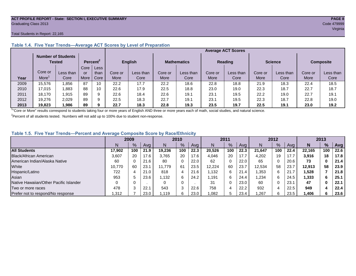#### **ACT PROFILE REPORT - State: SECTION I, EXECUTIVE SUMMARY PAGE 8** Graduating Class 2013 Code 479999

#### Total Students in Report: 22,165

|      |         | <b>Number of Students</b><br>Tested |      | Percent <sup>2</sup> |             | <b>English</b> |         | <b>Mathematics</b> |         | <b>Reading</b> |         | <b>Science</b> |         | <b>Composite</b> |
|------|---------|-------------------------------------|------|----------------------|-------------|----------------|---------|--------------------|---------|----------------|---------|----------------|---------|------------------|
|      |         |                                     | Core | Less                 |             |                |         |                    |         |                |         |                |         |                  |
|      | Core or | Less than                           | or   | than                 | Core or     | Less than      | Core or | Less than          | Core or | Less than      | Core or | Less than      | Core or | Less than        |
| Year | More    | Core                                | More | Core                 | <b>More</b> | Core           | More    | Core               | More    | Core           | More    | Core           | More    | Core             |
| 2009 | 15.576  | .856                                | 87   | 10                   | 22.2        | 17.7           | 22.2    | 18.6               | 22.8    | 18.8           | 21.9    | 18.3           | 22.4    | 18.5             |
| 2010 | 17.015  | .883                                | 88   | 10                   | 22.6        | 17.9           | 22.5    | 18.8               | 23.0    | 19.0           | 22.3    | 18.7           | 22.7    | 18.7             |
| 2011 | 18.170  | 1,915                               | 89   | 9                    | 22.6        | 18.4           | 22.6    | 19.1               | 23.1    | 19.5           | 22.2    | 19.0           | 22.7    | 19.1             |
| 2012 | 19,276  | 2.029                               | 89   | 9                    | 22.5        | 18.3           | 22.7    | 19.1               | 23.1    | 19.5           | 22.3    | 18.7           | 22.8    | 19.0             |
| 2013 | 19,823  | .986                                | 89   | Ω                    | 22.7        | 18.3           | 22.8    | 19.3               | 23.5    | 19.7           | 22.5    | 19.1           | 23.0    | 19.2             |

#### **Table 1.4. Five Year Trends—Average ACT Scores by Level of Preparation**

<sup>1</sup>"Core or More" results correspond to students taking four or more years of English AND three or more years each of math, social studies, and natural science.

 $2$ Percent of all students tested. Numbers will not add up to 100% due to student non-response.

#### **Table 1.5. Five Year Trends—Percent and Average Composite Score by Race/Ethnicity**

|                                        | 2009   |      |      | 2010   |     | 2011 |        |               | 2012 |        |     | 2013 |        |     |      |
|----------------------------------------|--------|------|------|--------|-----|------|--------|---------------|------|--------|-----|------|--------|-----|------|
|                                        |        | $\%$ | Avg  | N      | %   | Ava  | N      | $\frac{9}{6}$ | Avg  | Ν      | %   | Ava  | N      | %   | Avg  |
| <b>All Students</b>                    | 17.902 | 100  | 21.9 | 19.236 | 100 | 22.3 | 20.526 | 100           | 22.3 | 21.647 | 100 | 22.4 | 22.165 | 100 | 22.6 |
| Black/African American                 | 3,607  | 20   | 17.6 | 3.765  | 20  | 17.6 | 4,046  | 20            | 17.7 | 4,202  | 19  |      | 3,916  | 18  | 17.8 |
| American Indian/Alaska Native          | 60     |      | 21.6 | 80     | 0   | 22.0 | 62     | 0             | 22.0 | 65     |     | 20.6 | 73     | 0   | 21.4 |
| White                                  | 10.770 | 60   | 23.7 | 11.779 | 61  | 23.5 | 12,224 | 60            | 23.7 | 12.534 | 58  | 23.7 | 12.913 | 58  | 23.9 |
| Hispanic/Latino                        | 722    |      | 21.0 | 818    | 4   | 21.6 | 1.132  | 6             | 21.4 | 1,353  | 6   | 21.  | 1,528  |     | 21.8 |
| Asian                                  | 953    |      | 23.6 | 1.132  | 6   | 24.2 | .191.، | 6             | 24.4 | 1,234  | 6   | 24.5 | 1,333  | 6   | 25.1 |
| Native Hawaiian/Other Pacific Islander |        |      |      |        | 0   |      | 31     |               | 23.0 | 60     |     | 23.1 | 47     | 0   | 22.1 |
| Two or more races                      | 478    |      | 22.  | 543    | 3   | 22.6 | 758    | 4             | 22.2 | 932    | 4   | 22.5 | 949    |     | 22.4 |
| Prefer not to respond/No response      | 1,312  |      | 23.0 | .119   | 6   | 23.0 | 082    |               | 23.4 | ,267   | 6   | 23.5 | 1,406  |     | 23.6 |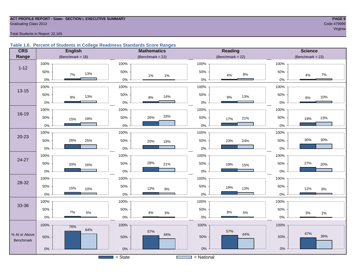# **ACT PROFILE REPORT - State: SECTION I, EXECUTIVE SUMMARY PAGE 9** Graduating Class 2013 Code 479999

#### Total Students in Report: 22,165

#### **Table 1.6. Percent of Students in College Readiness Standards Score Ranges**

| <b>CRS</b>    | <b>English</b>      | <b>Mathematics</b>     | <b>Reading</b>      | <b>Science</b>      |
|---------------|---------------------|------------------------|---------------------|---------------------|
| Range         | (Benchmark = $18$ ) | (Benchmark = $22$ )    | (Benchmark = $22$ ) | $(Benchmark = 23)$  |
|               | 100%                | 100%                   | 100%                | 100%                |
| $1 - 12$      | 50%<br>13%<br>$7\%$ | 50%<br>$1\%$<br>$1\%$  | 50%<br>$8\%$<br>4%  | 50%<br>$7\%$<br>4%  |
|               | $0\%$               | $0\%$                  | $0\%$               | $0\%$               |
| $13 - 15$     | 100%                | 100%                   | 100%                | 100%                |
|               | 50%<br>13%<br>$9\%$ | 50%<br>14%<br>$8\%$    | 50%<br>13%<br>$9\%$ | 50%<br>10%<br>$6\%$ |
|               | $0\%$               | $0\%$                  | 0%                  | 0%                  |
|               | 100%                | 100%                   | 100%                | 100%                |
| $16 - 19$     | 50%<br>18%<br>15%   | 33%<br>26%<br>50%      | 50%<br>21%<br>17%   | 50%<br>23%<br>19%   |
|               | $0\%$               | $0\%$                  | $0\%$               | 0%                  |
|               | 100%                | 100%                   | 100%                | 100%                |
| $20 - 23$     | 26%<br>50%<br>25%   | 50%<br>20%<br>19%      | 50%<br>24%<br>23%   | 30%<br>30%<br>50%   |
|               | 0%                  | $0\%$                  | $0\%$               | 0%                  |
|               | 100%                | 100%                   | 100%                | 100%                |
| 24-27         | 50%<br>20%<br>16%   | 28%<br>50%<br>21%      | 50%<br>19%<br>15%   | 50%<br>27%<br>20%   |
|               | $0\%$               | $0\%$                  | $0\%$               | 0%                  |
| 28-32         | 100%                | 100%                   | 100%                | 100%                |
|               | 50%<br>15%<br>10%   | 50%<br>13%<br>$9\%$    | 50%<br>19%<br>13%   | 50%<br>11%<br>$8\%$ |
|               | 0%                  | $0\%$                  | $0\%$               | 0%                  |
|               | 100%                | 100%                   | 100%                | 100%                |
| 33-36         | 50%<br>7%           | 50%                    | 50%<br>$8\%$        | 50%                 |
|               | $5\%$<br>$0\%$      | $4\%$<br>$3%$<br>$0\%$ | $5\%$<br>0%         | $3%$<br>2%<br>$0\%$ |
|               | 100%<br>76%         | 100%                   | 100%                | 100%                |
| % At or Above | 64%                 | 57%<br>44%             | 57%<br>44%          | 47%                 |
| Benchmark     | 50%                 | 50%                    | 50%                 | 36%<br>50%          |
|               | $0\%$               | $0\%$                  | $0\%$               | $0\%$               |
|               |                     | $=$ State              | $=$ National        |                     |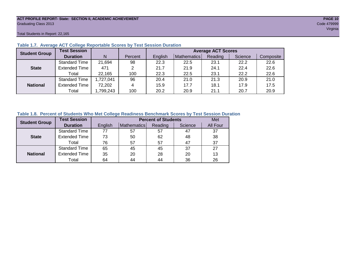### **ACT PROFILE REPORT- State: SECTION II, ACADEMIC ACHIEVEMENT PAGE 10** Graduating Class 2013 Code 479999

Total Students in Report: 22,165

| <b>Student Group</b> | <b>Test Session</b>  |          |         | <b>Average ACT Scores</b> |             |         |         |           |  |  |  |  |  |
|----------------------|----------------------|----------|---------|---------------------------|-------------|---------|---------|-----------|--|--|--|--|--|
|                      | <b>Duration</b>      | N        | Percent | English                   | Mathematics | Reading | Science | Composite |  |  |  |  |  |
|                      | <b>Standard Time</b> | 21,694   | 98      | 22.3                      | 22.5        | 23.1    | 22.2    | 22.6      |  |  |  |  |  |
| <b>State</b>         | <b>Extended Time</b> | 471      | 2       | 21.7                      | 21.9        | 24.1    | 22.4    | 22.6      |  |  |  |  |  |
|                      | Total                | 22.165   | 100     | 22.3                      | 22.5        | 23.1    | 22.2    | 22.6      |  |  |  |  |  |
|                      | <b>Standard Time</b> | .727,041 | 96      | 20.4                      | 21.0        | 21.3    | 20.9    | 21.0      |  |  |  |  |  |
| <b>National</b>      | <b>Extended Time</b> | 72,202   | 4       | 15.9                      | 17.7        | 18.1    | 17.9    | 17.5      |  |  |  |  |  |
|                      | Total                | ,799,243 | 100     | 20.2                      | 20.9        | 21.1    | 20.7    | 20.9      |  |  |  |  |  |

#### **Table 1.7. Average ACT College Reportable Scores by Test Session Duration**

#### **Table 1.8. Percent of Students Who Met College Readiness Benchmark Scores by Test Session Duration**

| <b>Student Group</b> | <b>Test Session</b>  |         | <b>Percent of Students</b> |         |         |          |  |  |  |  |  |
|----------------------|----------------------|---------|----------------------------|---------|---------|----------|--|--|--|--|--|
|                      | <b>Duration</b>      | English | Mathematics                | Reading | Science | All Four |  |  |  |  |  |
|                      | <b>Standard Time</b> | 77      | 57                         | 57      | 47      | 37       |  |  |  |  |  |
| <b>State</b>         | <b>Extended Time</b> | 73      | 50                         | 62      | 48      | 38       |  |  |  |  |  |
|                      | Total                | 76      | 57                         | 57      | 47      | 37       |  |  |  |  |  |
|                      | <b>Standard Time</b> | 65      | 45                         | 45      | 37      | 27       |  |  |  |  |  |
| <b>National</b>      | <b>Extended Time</b> | 35      | 20                         | 28      | 20      | 13       |  |  |  |  |  |
|                      | Total                | 64      | 44                         | 44      | 36      | 26       |  |  |  |  |  |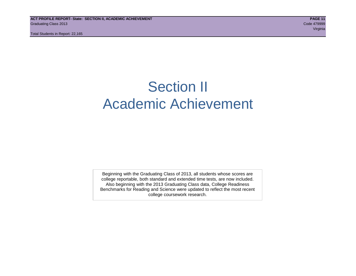Total Students in Report: 22,165

# Section II Academic Achievement

Beginning with the Graduating Class of 2013, all students whose scores are college reportable, both standard and extended time tests, are now included. Also beginning with the 2013 Graduating Class data, College Readiness Benchmarks for Reading and Science were updated to reflect the most recent college coursework research.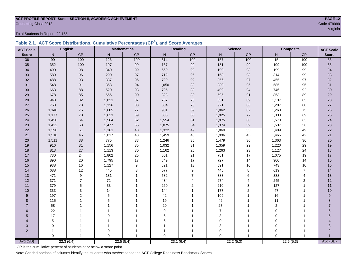### **ACT PROFILE REPORT- State: SECTION II, ACADEMIC ACHIEVEMENT PAGE 12** Graduating Class 2013 Code 479999

Total Students in Report: 22,165

|  | Table 2.1. ACT Score Distributions, Cumulative Percentages (CP <sup>1</sup> ), and Score Averages |  |  |  |
|--|---------------------------------------------------------------------------------------------------|--|--|--|
|  |                                                                                                   |  |  |  |

| <b>ACT Scale</b> |             | <b>English</b> |          | <b>Mathematics</b> |          | <b>Reading</b> | <b>Science</b>    |                |             | <b>Composite</b><br><b>ACT Scale</b> |                  |
|------------------|-------------|----------------|----------|--------------------|----------|----------------|-------------------|----------------|-------------|--------------------------------------|------------------|
| <b>Score</b>     | N           | CP             | N        | CP                 | N        | CP             | $\mathsf{N}$      | CP             | N           | CP                                   | <b>Score</b>     |
| 36               | 99          | 100            | 126      | 100                | 314      | 100            | $\frac{157}{157}$ | $100$          | 15          | 100                                  | 36               |
| 35               | 352         | 100            | 197      | 99                 | 167      | 99             | 181               | 99             | 109         | 100                                  | 35               |
| 34               | 490         | 98             | 340      | 99                 | 660      | 98             | 190               | 98             | 199         | 99                                   | 34               |
| 33               | 589         | 96             | 290      | 97                 | 712      | 95             | 153               | 98             | 314         | 99                                   | 33               |
| 32               | 488         | 93             | 337      | 96                 | 790      | 92             | 356               | 97             | 455         | 97                                   | 32               |
| 31               | 548         | 91             | 358      | 94                 | 1,050    | 88             | 380               | 95             | 585         | 95                                   | 31               |
| 30               | 663         | 88             | 520      | 93                 | 795      | 83             | 499               | 94             | 746         | 92                                   | 30               |
| 29               | 678         | 85             | 666      | 90                 | 828      | 80             | 595               | 91             | 853         | 89                                   | 29               |
| 28               | 948         | 82             | 1,021    | 87                 | 757      | 76             | 651               | 89             | 1,137       | 85                                   | 28               |
| 27               | 758         | 78             | 1,336    | 83                 | 884      | 73             | 921               | 86             | 1,207       | 80                                   | $27\,$           |
| 26               | 1,140       | 75             | 1,605    | $77\,$             | 901      | 69             | 1,062             | 82             | 1,268       | 75                                   | $26\,$           |
| 25               | 1,177       | 70             | 1,623    | 69                 | 885      | 65             | 1,925             | 77             | 1,333       | 69                                   | 25               |
| 24               | 1,450       | 64             | 1,564    | 62                 | 1,554    | 61             | 1,975             | 68             | 1,570       | 63                                   | 24               |
| 23               | 1,422       | 58             | 1,477    | 55                 | 1,075    | 54             | 1,374             | 59             | 1,537       | 56                                   | 23               |
| 22               | 1,390       | 51             | 1,161    | 48                 | 1,322    | 49             | 1,860             | 53             | 1,489       | 49                                   | 22               |
| 21               | 1,518       | 45             | 1,017    | 43                 | 1,459    | 43             | 1,996             | 45             | 1,465       | 42                                   | 21               |
| 20               | 1,511       | 38             | 775      | 38                 | 1,246    | 36             | 1,479             | 36             | 1,363       | 36                                   | 20               |
| 19               | 916         | 31             | 1,156    | 35                 | 1,032    | 31             | 1,359             | 29             | 1,220       | 29                                   | 19               |
| 18               | 813         | 27             | 1,113    | $30\,$             | 1,162    | 26             | 1,263             | 23             | 1,127       | 24                                   | 18               |
| 17               | 730         | 24             | 1,802    | 25                 | 801      | 21             | 781               | 17             | 1,075       | 19                                   | 17               |
| 16               | 890         | 20             | 1,795    | 17                 | 849      | 17             | 727               | 14             | 900         | 14                                   | 16               |
| 15               | 938         | 16             | 1,127    | $\boldsymbol{9}$   | 821      | 13             | 591               | $10$           | 743         | 10                                   | 15               |
| 14               | 688         | 12             | 445      | 3                  | 577      | 9              | 445               | 8              | 619         | $\overline{7}$                       | 14               |
| 13               | 471         | 9              | 181      |                    | 582      | $\overline{7}$ | 383               | 6              | 388         | $\overline{4}$                       | 13               |
| 12               | 371         | $\overline{7}$ | $72\,$   |                    | 434      | 4              | 274               | $\overline{4}$ | 245         | 2                                    | 12               |
| 11               | 379         | 5              | 33       |                    | 260      | $\overline{2}$ | 210               | 3              | 127         | $\mathbf{1}$                         | 11               |
| 10               | 333         | 3              | 14       |                    | 144      | 1              | 177               | $\overline{2}$ | 47          | 1                                    | 10               |
| 9                | 197         | $\overline{2}$ | 5        |                    | 42       |                | 109               | 1              | 16          | 1                                    | $\boldsymbol{9}$ |
| 8                | 115         |                | 5        |                    | 19       |                | 42                | 1              | 11          |                                      | 8                |
| $\overline{7}$   | 58          |                | 1        |                    | $20\,$   |                | 27                |                | $\mathbf 2$ |                                      | $\overline{7}$   |
| 6                | 22          |                | 1        |                    | 9        |                | $\overline{7}$    |                | 0           |                                      | 6                |
| 5                | 17          |                | $\Omega$ |                    | 6        |                | 8                 | 1              | $\mathbf 0$ |                                      | 5                |
| 4                | 5           |                |          |                    | 6        |                | $\mathbf 0$       |                | $\mathbf 0$ |                                      |                  |
| 3                | $\mathbf 0$ |                | 1        |                    |          |                | 8                 | 1              | $\mathbf 0$ |                                      | 3                |
| $\overline{2}$   | 1           |                | 0        |                    |          |                | 0                 | 1              | $\mathbf 0$ |                                      | $\overline{2}$   |
|                  | $\Omega$    | $\overline{1}$ | $\Omega$ |                    | $\Omega$ | 1              | $\Omega$          | $\overline{1}$ | $\Omega$    |                                      |                  |
| Avg (SD)         |             | 22.3(6.4)      |          | 22.5(5.4)          |          | 23.1(6.4)      |                   | 22.2(5.3)      | 22.6(5.3)   |                                      | Avg (SD)         |

<sup>1</sup>CP is the cumulative percent of students at or below a score point.

Note: Shaded portions of columns identify the students who met/exceeded the ACT College Readiness Benchmark Scores.

e de la construcción de la construcción de la construcción de la construcción de la construcción de la construcción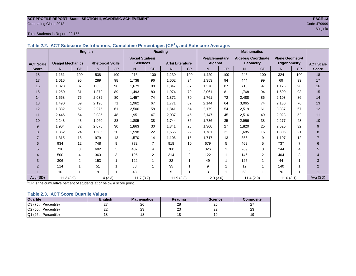#### **ACT PROFILE REPORT- State: SECTION II, ACADEMIC ACHIEVEMENT PAGE 13** Graduating Class 2013 Code 479999

#### Total Students in Report: 22,165

|                  |                         | <b>English</b> |                          |           |                        |                | Reading                |                | <b>Mathematics</b>    |           |                            |                |                        |                |                  |
|------------------|-------------------------|----------------|--------------------------|-----------|------------------------|----------------|------------------------|----------------|-----------------------|-----------|----------------------------|----------------|------------------------|----------------|------------------|
|                  |                         |                |                          |           | <b>Social Studies/</b> |                |                        |                | <b>Pre/Elementary</b> |           | <b>Algebra/ Coordinate</b> |                | <b>Plane Geometry/</b> |                |                  |
| <b>ACT Scale</b> | <b>Usage/ Mechanics</b> |                | <b>Rhetorical Skills</b> |           | <b>Sciences</b>        |                | <b>Arts/Literature</b> |                | Algebra               |           | <b>Geometry</b>            |                | <b>Trigonometry</b>    |                | <b>ACT Scale</b> |
| <b>Score</b>     | N.                      | <b>CP</b>      | N                        | <b>CP</b> | N                      | <b>CP</b>      | N                      | <b>CP</b>      | N <sub>1</sub>        | <b>CP</b> | N.                         | <b>CP</b>      | N.                     | <b>CP</b>      | <b>Score</b>     |
| 18               | 1.161                   | 100            | 538                      | 100       | 916                    | 100            | 1.230                  | 100            | 1.420                 | 100       | 246                        | 100            | 324                    | 100            | 18               |
| 17               | 1,616                   | 95             | 289                      | 98        | 1.738                  | 96             | 1.602                  | 94             | 1,353                 | 94        | 444                        | 99             | 69                     | 99             | 17               |
| 16               | 1,328                   | 87             | 1.655                    | 96        | 1.679                  | 88             | 1.847                  | 87             | 1,378                 | 87        | 718                        | 97             | 1.126                  | 98             | 16               |
| 15               | 1,250                   | 81             | 1.872                    | 89        | 1,493                  | 80             | 1.974                  | 79             | 2,061                 | 81        | 1.768                      | 94             | 1.600                  | 93             | 15               |
| 14               | 1,568                   | 76             | 2,032                    | 80        | 1,457                  | 74             | 1,872                  | 70             | 1,761                 | 72        | 2,488                      | 86             | 2,103                  | 86             | 14               |
| 13               | 1,490                   | 69             | 2,190                    | 71        | 1,962                  | 67             | 1.771                  | 62             | 2,144                 | 64        | 3,065                      | 74             | 2,130                  | 76             | 13               |
| 12               | 1,882                   | 62             | 2,975                    | 61        | 2,506                  | 58             | 1,841                  | 54             | 2,179                 | 54        | 2,519                      | 61             | 3,337                  | 67             | 12               |
| 11               | 2.446                   | 54             | 2.085                    | 48        | 1,951                  | 47             | 2,037                  | 45             | 2.147                 | 45        | 2.516                      | 49             | 2,028                  | 52             | 11               |
| 10               | 2,243                   | 43             | 1.960                    | 38        | 1,805                  | 38             | 1.744                  | 36             | 1.736                 | 35        | 2,956                      | 38             | 2,277                  | 43             | 10               |
| 9                | 1,904                   | 32             | 2,078                    | 30        | 1,863                  | 30             | 1,341                  | 28             | 1,300                 | 27        | 1.820                      | 25             | 2,620                  | 32             | 9                |
| 8                | 1,362                   | 24             | 1,586                    | 20        | 1,598                  | 22             | 1.666                  | 22             | 1.781                 | 21        | 1.685                      | 16             | 1,805                  | 21             | 8                |
| $\overline{7}$   | 1,315                   | 18             | 979                      | 13        | 1,570                  | 14             | 1,106                  | 15             | 1,717                 | 13        | 856                        | 9              | 1.107                  | 12             | $\overline{7}$   |
| 6                | 934                     | 12             | 748                      | 9         | 772                    | $\overline{7}$ | 918                    | 10             | 679                   | 5         | 469                        | 5              | 737                    | $\overline{7}$ | 6                |
| 5                | 736                     | 8              | 602                      | 5         | 407                    | 4              | 780                    | 5              | 326                   | 2         | 269                        | 3              | 244                    | 4              | 5                |
| 4                | 500                     | 4              | 363                      | 3         | 195                    | $\overline{2}$ | 314                    | 2              | 122                   | 1         | 146                        | $\overline{2}$ | 404                    | 3              | 4                |
| 3                | 306                     | 2              | 153                      | 1         | 122                    | -1             | 82                     | 1              | 49                    | 1         | 125                        | 1              | 44                     |                | 3                |
| 2                | 114                     | $\overline{ }$ | 51                       |           | 88                     |                | 35                     | 1              | 9                     | 1         | 12                         | 1              | 140                    |                | $\overline{2}$   |
|                  | 10                      | $\overline{ }$ | 9                        |           | 43                     |                | 5                      | $\overline{ }$ | 3                     | 1         | 63                         | 1              | 70                     |                |                  |
| Avg (SD)         | 11.3(3.9)               |                | 11.4(3.3)                |           | 11.7(3.7)              |                | 11.9(3.8)              |                | 12.0(3.6)             |           | 11.4(2.9)                  |                | 11.0(3.1)              |                | Avg (SD)         |

**Table 2.2. ACT Subscore Distributions, Cumulative Percentages (CP<sup>1</sup> ), and Subscore Averages**

 $1$ <sup>T</sup>CP is the cumulative percent of students at or below a score point.

#### **Table 2.3. ACT Score Quartile Values**

| <b>Quartile</b>      | Enalish  | <b>Mathematics</b> | Reading  | <b>Science</b>      | Composite |
|----------------------|----------|--------------------|----------|---------------------|-----------|
| Q3 (75th Percentile) | L.       | 26                 | 28       | 25                  |           |
| Q2 (50th Percentile) | າາ<br>∠∠ | מר<br>د∠           | nn<br>د∠ | $\sim$<br><u>__</u> | nn<br>د∠  |
| Q1 (25th Percentile) |          |                    |          | Y                   |           |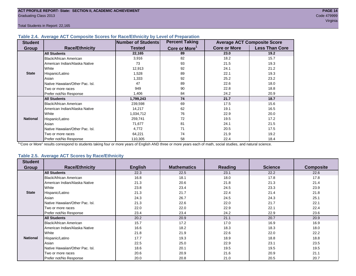Total Students in Report: 22,165

#### **Table 2.4. Average ACT Composite Scores for Race/Ethnicity by Level of Preparation**

| <b>Student</b>  |                                 | <b>Number of Students</b> | <b>Percent Taking</b>     |                     | <b>Average ACT Composite Score</b> |
|-----------------|---------------------------------|---------------------------|---------------------------|---------------------|------------------------------------|
| <b>Group</b>    | <b>Race/Ethnicity</b>           | <b>Tested</b>             | Core or More <sup>1</sup> | <b>Core or More</b> | <b>Less Than Core</b>              |
|                 | <b>All Students</b>             | 22,165                    | 89                        | 23.0                | 19.2                               |
|                 | <b>Black/African American</b>   | 3,916                     | 82                        | 18.2                | 15.7                               |
|                 | American Indian/Alaska Native   | 73                        | 93                        | 21.5                | 19.3                               |
|                 | White                           | 12,913                    | 92                        | 24.1                | 21.2                               |
| <b>State</b>    | Hispanic/Latino                 | 1,528                     | 89                        | 22.1                | 19.3                               |
|                 | Asian                           | 1,333                     | 92                        | 25.2                | 23.2                               |
|                 | Native Hawaiian/Other Pac. Isl. | 47                        | 89                        | 22.6                | 18.0                               |
|                 | I Two or more races             | 949                       | 90                        | 22.8                | 18.8                               |
|                 | Prefer not/No Response          | 1,406                     | 84                        | 24.2                | 20.9                               |
|                 | <b>All Students</b>             | 1,799,243                 | 74                        | 21.7                | 18.7                               |
|                 | Black/African American          | 239,598                   | 69                        | 17.5                | 15.6                               |
|                 | American Indian/Alaska Native   | 14,217                    | 62                        | 19.1                | 16.5                               |
|                 | <b>White</b>                    | 1,034,712                 | 76                        | 22.9                | 20.0                               |
| <b>National</b> | Hispanic/Latino                 | 259,741                   | 72                        | 19.5                | 17.2                               |
|                 | Asian                           | 71,677                    | 81                        | 24.1                | 21.5                               |
|                 | Native Hawaiian/Other Pac. Isl. | 4,772                     | 71                        | 20.5                | 17.5                               |
|                 | Two or more races               | 64,221                    | 74                        | 21.9                | 19.2                               |
|                 | Prefer not/No Response          | 110,305                   | 58                        | 22.4                | 18.4                               |

<sup>1</sup>"Core or More" results correspond to students taking four or more years of English AND three or more years each of math, social studies, and natural science.

#### **Table 2.5. Average ACT Scores by Race/Ethnicity**

| <b>Student</b>  |                                 |                |                    |                |                |                  |
|-----------------|---------------------------------|----------------|--------------------|----------------|----------------|------------------|
| Group           | <b>Race/Ethnicity</b>           | <b>English</b> | <b>Mathematics</b> | <b>Reading</b> | <b>Science</b> | <b>Composite</b> |
|                 | <b>All Students</b>             | 22.3           | 22.5               | 23.1           | 22.2           | 22.6             |
|                 | Black/African American          | 16.8           | 18.1               | 18.0           | 17.8           | 17.8             |
|                 | American Indian/Alaska Native   | 21.3           | 20.6               | 21.8           | 21.3           | 21.4             |
|                 | White                           | 23.8           | 23.4               | 24.5           | 23.3           | 23.9             |
| <b>State</b>    | Hispanic/Latino                 | 21.3           | 21.7               | 22.4           | 21.4           | 21.8             |
|                 | Asian                           | 24.3           | 26.7               | 24.5           | 24.3           | 25.1             |
|                 | Native Hawaiian/Other Pac. Isl. | 21.3           | 22.6               | 22.0           | 21.7           | 22.1             |
|                 | Two or more races               | 22.0           | 22.0               | 22.9           | 22.1           | 22.4             |
|                 | Prefer not/No Response          | 23.4           | 23.4               | 24.2           | 22.9           | 23.6             |
|                 | <b>All Students</b>             | 20.2           | 20.9               | 21.1           | 20.7           | 20.9             |
|                 | <b>Black/African American</b>   | 15.7           | 17.2               | 17.0           | 16.9           | 16.9             |
|                 | American Indian/Alaska Native   | 16.6           | 18.2               | 18.3           | 18.3           | 18.0             |
|                 | White                           | 21.8           | 21.9               | 22.6           | 22.0           | 22.2             |
| <b>National</b> | Hispanic/Latino                 | 17.7           | 19.3               | 18.9           | 18.8           | 18.8             |
|                 | Asian                           | 22.5           | 25.0               | 22.9           | 23.1           | 23.5             |
|                 | Native Hawaiian/Other Pac. Isl. | 18.6           | 20.1               | 19.5           | 19.5           | 19.5             |
|                 | Two or more races               | 20.6           | 20.9               | 21.6           | 20.9           | 21.1             |
|                 | Prefer not/No Response          | 20.0           | 20.8               | 21.0           | 20.5           | 20.7             |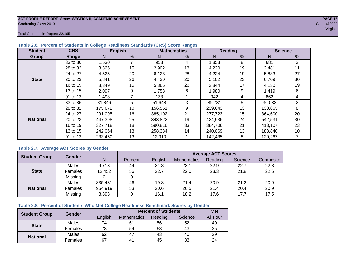#### **ACT PROFILE REPORT- State: SECTION II, ACADEMIC ACHIEVEMENT PAGE 15** Graduating Class 2013 Code 479999

Total Students in Report: 22,165

| <b>Student</b>  | <b>CRS</b> |         | <b>English</b> |         | <b>Mathematics</b> |         | Reading       | <b>Science</b> |              |  |
|-----------------|------------|---------|----------------|---------|--------------------|---------|---------------|----------------|--------------|--|
| Group           | Range      | N       | %              | N       | %                  | N       | $\frac{0}{0}$ | N              | %            |  |
|                 | 33 to 36   | 1,530   |                | 953     | 4                  | 1,853   | 8             | 681            | 3            |  |
|                 | 28 to 32   | 3,325   | 15             | 2,902   | 13                 | 4,220   | 19            | 2,481          | 11           |  |
|                 | 24 to 27   | 4,525   | 20             | 6,128   | 28                 | 4,224   | 19            | 5,883          | 27           |  |
| <b>State</b>    | 20 to 23   | 5,841   | 26             | 4,430   | 20                 | 5,102   | 23            | 6,709          | 30           |  |
|                 | 16 to 19   | 3,349   | 15             | 5,866   | 26                 | 3,844   | 17            | 4,130          | 19           |  |
|                 | 13 to 15   | 2,097   | 9              | 1,753   | 8                  | 1,980   | 9             | 1,419          | 6            |  |
|                 | 01 to 12   | 1,498   |                | 133     |                    | 942     | 4             | 862            | 4            |  |
|                 | 33 to 36   | 81,846  | 5              | 51,648  | 3                  | 89,731  | 5             | 36,033         | $\mathbf{2}$ |  |
|                 | 28 to 32   | 175,672 | 10             | 156,561 | 9                  | 239,643 | 13            | 138,865        | 8            |  |
|                 | 24 to 27   | 291.095 | 16             | 385.102 | 21                 | 277,723 | 15            | 364,600        | 20           |  |
| <b>National</b> | 20 to 23   | 447,398 | 25             | 343,822 | 19                 | 424,936 | 24            | 542,531        | 30           |  |
|                 | 16 to 19   | 327,718 | 18             | 590,816 | 33                 | 384.706 | 21            | 413,107        | 23           |  |
|                 | 13 to 15   | 242.064 | 13             | 258,384 | 14                 | 240,069 | 13            | 183,840        | 10           |  |
|                 | 01 to 12   | 233,450 | 13             | 12,910  |                    | 142,435 | 8             | 120,267        |              |  |

#### **Table 2.6. Percent of Students in College Readiness Standards (CRS) Score Ranges**

#### **Table 2.7. Average ACT Scores by Gender**

| <b>Student Group</b> | <b>Gender</b> |         |         | <b>Average ACT Scores</b> |             |         |         |           |  |  |  |
|----------------------|---------------|---------|---------|---------------------------|-------------|---------|---------|-----------|--|--|--|
|                      |               | N       | Percent | Enalish                   | Mathematics | Reading | Science | Composite |  |  |  |
|                      | Males         | 9,713   | 44      | 21.8                      | 23.1        | 22.9    | 22.7    | 22.8      |  |  |  |
| <b>State</b>         | Females       | 12,452  | 56      | 22.7                      | 22.0        | 23.3    | 21.8    | 22.6      |  |  |  |
|                      | Missing       |         | 0       |                           |             |         |         |           |  |  |  |
|                      | Males         | 835,431 | 46      | 19.8                      | 21.4        | 20.9    | 21.2    | 20.9      |  |  |  |
| <b>National</b>      | Females       | 954,919 | 53      | 20.6                      | 20.5        | 21.4    | 20.4    | 20.9      |  |  |  |
|                      | Missing       | 8,893   | 0       | 16.1                      | 18.2        | 17.6    | 17.7    | 17.5      |  |  |  |

#### **Table 2.8. Percent of Students Who Met College Readiness Benchmark Scores by Gender**

| <b>Student Group</b> | Gender  |         | <b>Percent of Students</b> |         |         |                 |  |  |  |  |
|----------------------|---------|---------|----------------------------|---------|---------|-----------------|--|--|--|--|
|                      |         | English | Mathematics                | Reading | Science | <b>All Four</b> |  |  |  |  |
| <b>State</b>         | Males   | 74      | 61                         | 56      | 52      | 40              |  |  |  |  |
|                      | Females | 78      | 54                         | 58      | 43      | 35              |  |  |  |  |
| <b>National</b>      | Males   | 62      | 47                         | 43      | 40      | 29              |  |  |  |  |
|                      | Females | 67      | 4 <sup>1</sup>             | 45      | 33      | 24              |  |  |  |  |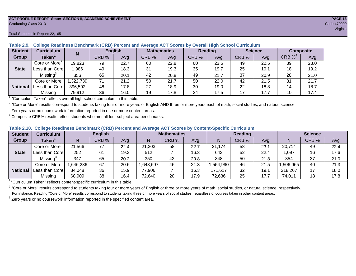#### **ACT PROFILE REPORT- State: SECTION II, ACADEMIC ACHIEVEMENT PAGE 16** Graduating Class 2013 Code 479999

#### Total Students in Report: 22,165

| <b>Student</b>  | Curriculum                | N        | <b>English</b> |      | <b>Mathematics</b> |      | <b>Reading</b> |      | <b>Science</b> |      | <b>Composite</b> |      |
|-----------------|---------------------------|----------|----------------|------|--------------------|------|----------------|------|----------------|------|------------------|------|
| Group           | Taken $^{\rm \texttt{1}}$ |          | CRB %          | Avg  | CRB %              | Avg  | CRB %          | Avg  | CRB %          | Avg  | CRB $\%^4$       | Avg  |
|                 | Core or More <sup>2</sup> | 19,823   | 79             | 22.7 | 60                 | 22.8 | 60             | 23.5 | 49             | 22.5 | 39               | 23.0 |
| <b>State</b>    | Less than Core            | ,986     | 49             | 18.3 | 31                 | 19.3 | 35             | 19.7 | 25             | 19.1 | 18               | 19.2 |
|                 | Missing <sup>3</sup>      | 356      | 65             | 20.1 | 42                 | 20.8 | 49             | 21.7 | 37             | 20.9 | 28               | 21.0 |
|                 | Core or More              | ,322,739 | 71             | 21.2 | 50                 | 21.7 | 50             | 22.0 | 42             | 21.5 | 31               | 21.7 |
| <b>National</b> | Less than Core            | 396,592  | 48             | 17.8 | 27                 | 18.9 | 30             | 19.0 | 22             | 18.8 | 14               | 18.7 |
|                 | Missing                   | 79,912   | 36             | 16.0 | 19                 | 17.8 | 24             | 17.5 | 17             | 17.7 | 10               | 17.4 |

#### **Table 2.9. College Readiness Benchmark (CRB) Percent and Average ACT Scores by Overall High School Curriculum**

<sup>1</sup> "Curriculum Taken" reflects overall high school curriculum in this table.

 $^2$  "Core or More" results correspond to students taking four or more years of English AND three or more years each of math, social studies, and natural science.

 $3$  Zero years or no coursework information reported in one or more content areas.

 $4$  Composite CRB% results reflect students who met all four subject-area benchmarks.

#### **Table 2.10. College Readiness Benchmark (CRB) Percent and Average ACT Scores by Content-Specific Curriculum**

| <b>Student</b>  | Curriculum                | <b>English</b> |       |      | <b>Mathematics</b> |       |      | <b>Reading</b> |       |      | <b>Science</b> |       |      |
|-----------------|---------------------------|----------------|-------|------|--------------------|-------|------|----------------|-------|------|----------------|-------|------|
| Group           | <b>Taken</b>              |                | CRB % | Avg  |                    | CRB % | Avg  | N              | CRB % | Avg  | N              | CRB % | Avg  |
|                 | Core or More <sup>2</sup> | 21,566         | 77    | 22.4 | 21,303             | 58    | 22.7 | 21,174         | 58    | 23.7 | 20,714         | 49    | 22.4 |
| <b>State</b>    | Less than Core            | 252            | 61    | 19.3 | 512                |       | 16.3 | 643            | 52    | 22.4 | 1.097          | 16    | 17.6 |
|                 | Missing <sup>3</sup>      | 347            | 65    | 20.2 | 350                | 42    | 20.8 | 348            | 50    | 21.8 | 354            | 37    | 21.0 |
|                 | Core or More              | .646,286       | 67    | 20.6 | ,648,697           | 46    | 21.3 | .554,990       | 46    | 21.5 | ,506,965       | 40    | 21.3 |
| <b>National</b> | Less than Core            | 84,048         | 36    | 15.9 | 77,906             |       | 16.3 | 171,617        | 32    | 19.1 | 218,267        |       | 18.0 |
|                 | Missing                   | 68,909         | 38    | 16.4 | 72,640             | 20    | 17.9 | 72,636         | 25    | 17.7 | 74,011         | 18    | 17.8 |

<sup>1</sup> "Curriculum Taken" reflects content-specific curriculum in this table.

<sup>2</sup> "Core or More" results correspond to students taking four or more years of English or three or more years of math, social studies, or natural science, respectively. For instance, Reading "Core or More" results correspond to students taking three or more years of social studies, regardless of courses taken in other content areas.

 $3$  Zero years or no coursework information reported in the specified content area.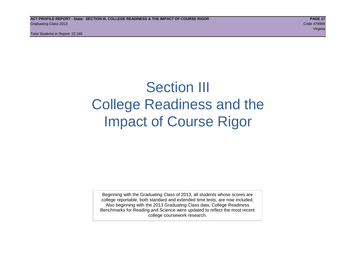Total Students in Report: 22,165

# Section III College Readiness and the Impact of Course Rigor

Beginning with the Graduating Class of 2013, all students whose scores are college reportable, both standard and extended time tests, are now included. Also beginning with the 2013 Graduating Class data, College Readiness Benchmarks for Reading and Science were updated to reflect the most recent college coursework research.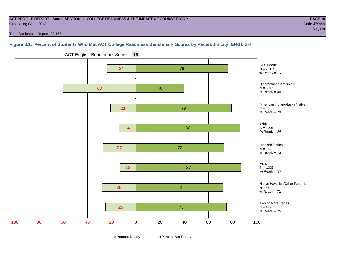#### **ACT PROFILE REPORT - State: SECTION III, COLLEGE READINESS & THE IMPACT OF COURSE RIGOR PAGE 18** Graduating Class 2013 Code 479999

e de la construcción de la construcción de la construcción de la construcción de la construcción de la construcción

Total Students in Report: 22,165

#### **Figure 3.1. Percent of Students Who Met ACT College Readiness Benchmark Scores by Race/Ethnicity: ENGLISH**



ACT English Benchmark Score = **18**

**□ Percent Ready DPercent Not Ready**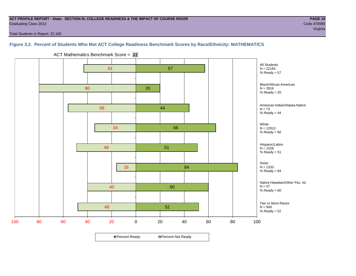#### **ACT PROFILE REPORT - State: SECTION III, COLLEGE READINESS & THE IMPACT OF COURSE RIGOR PAGE 19** Graduating Class 2013 Code 479999

Total Students in Report: 22,165

#### **Figure 3.2. Percent of Students Who Met ACT College Readiness Benchmark Scores by Race/Ethnicity: MATHEMATICS**

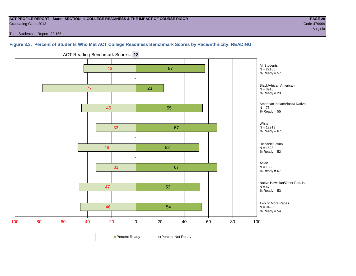#### **ACT PROFILE REPORT - State: SECTION III, COLLEGE READINESS & THE IMPACT OF COURSE RIGOR PAGE 20** Graduating Class 2013 Code 479999

Total Students in Report: 22,165

**Figure 3.3. Percent of Students Who Met ACT College Readiness Benchmark Scores by Race/Ethnicity: READING**



ACT Reading Benchmark Score = **22**

**□ Percent Ready DPercent Not Ready**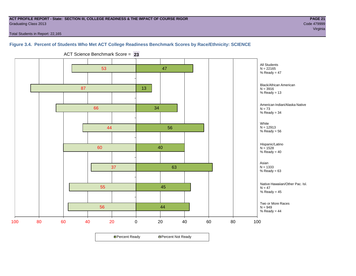#### **ACT PROFILE REPORT - State: SECTION III, COLLEGE READINESS & THE IMPACT OF COURSE RIGOR PAGE 21** Graduating Class 2013 Code 479999

e de la construcción de la construcción de la construcción de la construcción de la construcción de la construcción

Total Students in Report: 22,165

#### **Figure 3.4. Percent of Students Who Met ACT College Readiness Benchmark Scores by Race/Ethnicity: SCIENCE**



ACT Science Benchmark Score = **23**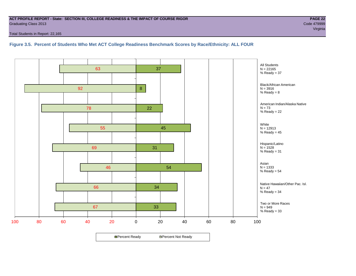#### **ACT PROFILE REPORT - State: SECTION III, COLLEGE READINESS & THE IMPACT OF COURSE RIGOR PAGE 22** Graduating Class 2013 Code 479999

Total Students in Report: 22,165

#### **Figure 3.5. Percent of Students Who Met ACT College Readiness Benchmark Scores by Race/Ethnicity: ALL FOUR**

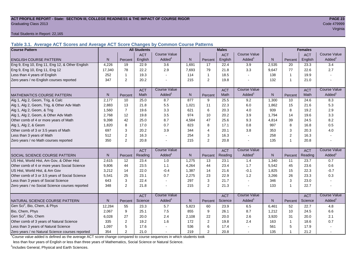# **ACT PROFILE REPORT - State: SECTION III, COLLEGE READINESS & THE IMPACT OF COURSE RIGOR PAGE 23** Graduating Class 2013 Code 479999

Total Students in Report: 22,165

**Table 3.1. Average ACT Scores and Average ACT Score Changes by Common Course Patterns**

| <b>Course Pattern</b>                            |                |                | <b>All Students</b> |                     |       |                | <b>Males</b> |                     | <b>Females</b> |                |            |                        |
|--------------------------------------------------|----------------|----------------|---------------------|---------------------|-------|----------------|--------------|---------------------|----------------|----------------|------------|------------------------|
|                                                  |                |                | <b>ACT</b>          | <b>Course Value</b> |       |                | <b>ACT</b>   | <b>Course Value</b> |                |                | <b>ACT</b> | <b>Course Value</b>    |
| <b>ENGLISH COURSE PATTERN</b>                    | N              | Percent        | English             | Added <sup>1</sup>  | N     | Percent        | English      | Added               | $\mathsf{N}$   | Percent        | English    | A d d e d <sup>1</sup> |
| Eng 9, Eng 10, Eng 11, Eng 12, & Other English   | 4,226          | 19             | 22.9                | 3.6                 | 1,691 | 17             | 22.4         | 3.9                 | 2,535          | 20             | 23.3       | 3.4                    |
| Eng 9, Eng 10, Eng 11, Eng 12                    | 17,340         | 78             | 22.2                | 2.9                 | 7,693 | 79             | 21.8         | 3.3                 | 9,647          | 77             | 22.6       | 2.7                    |
| Less than 4 years of English                     | 252            | $\mathbf 1$    | 19.3                |                     | 114   | $\mathbf{1}$   | 18.5         | $\sim$              | 138            | $\mathbf{1}$   | 19.9       |                        |
| Zero years / no English courses reported         | 347            | 2              | 20.2                |                     | 215   | 2              | 19.8         |                     | 132            | $\overline{1}$ | 21.0       |                        |
|                                                  |                |                | <b>ACT</b>          | <b>Course Value</b> |       |                | <b>ACT</b>   | <b>Course Value</b> |                |                | <b>ACT</b> | <b>Course Value</b>    |
| <b>MATHEMATICS COURSE PATTERN</b>                | N <sub>1</sub> | Percent        | Math                | Added               | N.    | Percent        | Math         | Added <sup>1</sup>  | N              | Percent        | Math       | Added <sup>1</sup>     |
| Alg 1, Alg 2, Geom, Trig, & Calc                 | 2,177          | 10             | 25.0                | 8.7                 | 877   | 9              | 25.5         | 9.2                 | 1,300          | 10             | 24.6       | 8.3                    |
| Alg 1, Alg 2, Geom, Trig, & Other Adv Math       | 2,883          | 13             | 21.8                | 5.5                 | 1,021 | 11             | 22.3         | 6.0                 | 1,862          | 15             | 21.6       | 5.3                    |
| Alg 1, Alg 2, Geom, & Trig                       | 1,560          | $\overline{7}$ | 19.6                | 3.3                 | 621   | 6              | 20.3         | 4.0                 | 939            | 8              | 19.2       | 2.9                    |
| Alg 1, Alg 2, Geom, & Other Adv Math             | 2,768          | 12             | 19.8                | 3.5                 | 974   | 10             | 20.2         | 3.9                 | 1,794          | 14             | 19.6       | 3.3                    |
| Other comb of 4 or more years of Math            | 9,398          | 42             | 25.0                | 8.7                 | 4,584 | 47             | 25.6         | 9.3                 | 4,814          | 39             | 24.5       | 8.2                    |
| Alg 1, Alg 2, & Geom                             | 1,820          | 8              | 17.0                | 0.7                 | 823   | 8              | 17.1         | 0.8                 | 997            | 8              | 16.8       | 0.5                    |
| Other comb of 3 or 3.5 years of Math             | 697            | 3              | 20.2                | 3.9                 | 344   | $\overline{4}$ | 20.1         | 3.8                 | 353            | 3              | 20.3       | 4.0                    |
| Less than 3 years of Math                        | 512            | $\overline{2}$ | 16.3                |                     | 254   | 3              | 16.3         | $\overline{a}$      | 258            | $\overline{2}$ | 16.3       |                        |
| Zero years / no Math courses reported            | 350            | 2              | 20.8                |                     | 215   | $\overline{2}$ | 20.8         |                     | 135            | 1              | 20.8       |                        |
|                                                  |                |                | <b>ACT</b>          | <b>Course Value</b> |       |                | <b>ACT</b>   | <b>Course Value</b> |                |                | <b>ACT</b> | <b>Course Value</b>    |
| <b>SOCIAL SCIENCE COURSE PATTERN</b>             | N              | Percent        | Reading             | Added <sup>1</sup>  | N     | Percent        | Reading      | Added               | N              | Percent        | Reading    | A d d e d <sup>1</sup> |
| US Hist, World Hist, Am Gov, & Other Hist        | 2,615          | 12             | 23.4                | $1.0$               | 1,275 | 13             | 23.1         | 1.4                 | 1,340          | 11             | 23.7       | 0.7                    |
| Other comb of 4 or more years Social Science     | 9,806          | 44             | 23.5                | 1.1                 | 4,264 | 44             | 23.4         | 1.7                 | 5,542          | 45             | 23.6       | 0.6                    |
| US Hist, World Hist, & Am Gov                    | 3,212          | 14             | 22.0                | $-0.4$              | 1,387 | 14             | 21.6         | $-0.1$              | 1,825          | 15             | 22.3       | $-0.7$                 |
| Other comb of 3 or 3.5 years of Social Science   | 5,541          | 25             | 23.1                | 0.7                 | 2,275 | 23             | 22.9         | 1.2                 | 3,266          | 26             | 23.3       | 0.3                    |
| Less than 3 years of Social Science              | 643            | 3              | 22.4                |                     | 297   | 3              | 21.7         | $\sim$              | 346            | 3              | 23.0       |                        |
| Zero years / no Social Science courses reported  | 348            | 2              | 21.8                |                     | 215   | $\overline{2}$ | 21.3         | $\blacksquare$      | 133            | $\overline{1}$ | 22.7       | $\blacksquare$         |
|                                                  |                |                | <b>ACT</b>          | <b>Course Value</b> |       |                | <b>ACT</b>   | <b>Course Value</b> |                |                | <b>ACT</b> | <b>Course Value</b>    |
| NATURAL SCIENCE COURSE PATTERN                   | N <sub>1</sub> | Percent        | Science             | Added               | N     | Percent        | Science      | Added               | N              | Percent        | Science    | A d d e d <sup>1</sup> |
| Gen Sci <sup>2</sup> , Bio, Chem, & Phys         | 12,284         | 55             | 23.3                | 5.7                 | 5,823 | 60             | 23.9         | 6.5                 | 6,461          | 52             | 22.7       | 4.8                    |
| Bio, Chem, Phys                                  | 2.067          | 9              | 25.1                | 7.5                 | 855   | 9              | 26.1         | 8.7                 | 1,212          | 10             | 24.5       | 6.6                    |
| Gen Sci <sup>2</sup> , Bio, Chem                 | 6,028          | 27             | 20.0                | 2.4                 | 2,108 | 22             | 20.0         | 2.6                 | 3,920          | 31             | 20.0       | 2.1                    |
| Other comb of 3 years of Natural Science         | 335            | $\overline{2}$ | 19.2                | 1.6                 | 172   | $\overline{2}$ | 19.8         | 2.4                 | 163            | $\mathbf{1}$   | 18.6       | 0.7                    |
| Less than 3 years of Natural Science             | 1,097          | 5              | 17.6                |                     | 536   | $\,6\,$        | 17.4         |                     | 561            | 5              | 17.9       |                        |
| Zero years / no Natural Science courses reported | 354            | 2              | 21.0                |                     | 219   | 2              | 20.8         |                     | 135            | 1              | 21.2       |                        |

<sup>1</sup>Course value added is defined as the average ACT score change compared to course sequences in which students took

less than four years of English or less than three years of Mathematics, Social Science or Natural Science.

<sup>2</sup>Includes General, Physical and Earth Sciences.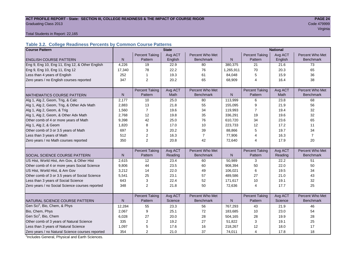# **ACT PROFILE REPORT - State: SECTION III, COLLEGE READINESS & THE IMPACT OF COURSE RIGOR PAGE 24** Graduating Class 2013 Code 479999

e de la construcción de la construcción de la construcción de la construcción de la construcción de la construcción

Total Students in Report: 22,165

#### **Table 3.2. College Readiness Percents by Common Course Patterns**

| <b>Course Pattern</b>                            |              |                         | <b>State</b> |                  | <b>National</b> |                       |         |                  |  |
|--------------------------------------------------|--------------|-------------------------|--------------|------------------|-----------------|-----------------------|---------|------------------|--|
|                                                  |              | <b>Percent Taking</b>   | Avg ACT      | Percent Who Met  |                 | <b>Percent Taking</b> | Avg ACT | Percent Who Met  |  |
| <b>ENGLISH COURSE PATTERN</b>                    | N            | Pattern                 | English      | <b>Benchmark</b> | $\mathsf{N}$    | Pattern               | English | <b>Benchmark</b> |  |
| Eng 9, Eng 10, Eng 11, Eng 12, & Other English   | 4,226        | 19                      | 22.9         | 80               | 380,375         | 21                    | 21.6    | 73               |  |
| Eng 9, Eng 10, Eng 11, Eng 12                    | 17,340       | 78                      | 22.2         | 76               | 1,265,911       | 70                    | 20.3    | 65               |  |
| Less than 4 years of English                     | 252          | 1                       | 19.3         | 61               | 84,048          | 5                     | 15.9    | 36               |  |
| Zero years / no English courses reported         | 347          | 2                       | 20.2         | 65               | 68,909          | 4                     | 16.4    | 38               |  |
|                                                  |              |                         |              |                  |                 |                       |         |                  |  |
|                                                  |              | <b>Percent Taking</b>   | Avg ACT      | Percent Who Met  |                 | <b>Percent Taking</b> | Avg ACT | Percent Who Met  |  |
| <b>MATHEMATICS COURSE PATTERN</b>                | N            | Pattern                 | <b>Math</b>  | <b>Benchmark</b> | N               | Pattern               | Math    | <b>Benchmark</b> |  |
| Alg 1, Alg 2, Geom, Trig, & Calc                 | 2,177        | 10                      | 25.0         | 80               | 113,999         | 6                     | 23.8    | 68               |  |
| Alg 1, Alg 2, Geom, Trig, & Other Adv Math       | 2,883        | 13                      | 21.8         | 55               | 155,095         | 9                     | 21.9    | 56               |  |
| Alg 1, Alg 2, Geom, & Trig                       | 1,560        | $\overline{7}$          | 19.6         | 34               | 119,993         | $\overline{7}$        | 19.4    | 32               |  |
| Alg 1, Alg 2, Geom, & Other Adv Math             | 2,768        | 12                      | 19.8         | 35               | 336,291         | 19                    | 19.6    | 32               |  |
| Other comb of 4 or more years of Math            | 9,398        | 42                      | 25.0         | 76               | 610,720         | 34                    | 23.6    | 65               |  |
| Alg 1, Alg 2, & Geom                             | 1,820        | 8                       | 17.0         | 10               | 223,733         | 12                    | 17.2    | 11               |  |
| Other comb of 3 or 3.5 years of Math             | 697          | 3                       | 20.2         | 39               | 88,866          | 5                     | 19.7    | 34               |  |
| Less than 3 years of Math                        | 512          | 2                       | 16.3         | $\overline{7}$   | 77,906          | 4                     | 16.3    | $\overline{7}$   |  |
| Zero years / no Math courses reported            | 350          | $\overline{2}$          | 20.8         | 42               | 72,640          | 4                     | 17.9    | 20               |  |
|                                                  |              |                         |              |                  |                 |                       |         |                  |  |
|                                                  |              | <b>Percent Taking</b>   | Avg ACT      | Percent Who Met  |                 | <b>Percent Taking</b> | Avg ACT | Percent Who Met  |  |
| <b>SOCIAL SCIENCE COURSE PATTERN</b>             | $\mathsf{N}$ | Pattern                 | Reading      | <b>Benchmark</b> | $\mathsf{N}$    | Pattern               | Reading | <b>Benchmark</b> |  |
| US Hist, World Hist, Am Gov, & Other Hist        | 2,615        | 12                      | 23.4         | 60               | 50,989          | 3                     | 22.2    | 51               |  |
| Other comb of 4 or more years Social Science     | 9,806        | 44                      | 23.5         | 60               | 908,394         | 50                    | 22.0    | 50               |  |
| US Hist, World Hist, & Am Gov                    | 3,212        | 14                      | 22.0         | 49               | 106,021         | 6                     | 19.5    | 34               |  |
| Other comb of 3 or 3.5 years of Social Science   | 5,541        | 25                      | 23.1         | 57               | 489,586         | 27                    | 21.0    | 43               |  |
| Less than 3 years of Social Science              | 643          | 3                       | 22.4         | 52               | 171,617         | 10                    | 19.1    | 32               |  |
| Zero years / no Social Science courses reported  | 348          | $\overline{2}$          | 21.8         | 50               | 72,636          | 4                     | 17.7    | 25               |  |
|                                                  |              |                         |              |                  |                 |                       |         |                  |  |
|                                                  |              | <b>Percent Taking</b>   | Avg ACT      | Percent Who Met  |                 | <b>Percent Taking</b> | Avg ACT | Percent Who Met  |  |
| NATURAL SCIENCE COURSE PATTERN                   | N            | Pattern                 | Science      | <b>Benchmark</b> | N               | Pattern               | Science | <b>Benchmark</b> |  |
| Gen Sci <sup>1</sup> , Bio, Chem, & Phys         | 12,284       | 55                      | 23.3         | 56               | 767,293         | 43                    | 21.9    | 46               |  |
| Bio, Chem, Phys                                  | 2,067        | 9                       | 25.1         | 72               | 183,685         | 10                    | 23.0    | 54               |  |
| Gen Sci <sup>1</sup> , Bio, Chem                 | 6,028        | 27                      | 20.0         | 28               | 504,165         | 28                    | 19.9    | 28               |  |
| Other comb of 3 years of Natural Science         | 335          | $\overline{\mathbf{c}}$ | 19.2         | 27               | 51,822          | 3                     | 19.1    | 25               |  |
| Less than 3 years of Natural Science             | 1,097        | 5                       | 17.6         | 16               | 218,267         | 12                    | 18.0    | 17               |  |
| Zero years / no Natural Science courses reported | 354          | $\overline{2}$          | 21.0         | 37               | 74,011          | 4                     | 17.8    | 18               |  |

<sup>1</sup>Includes General, Physical and Earth Sciences.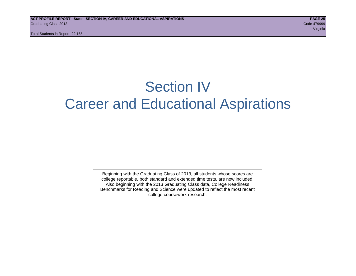Total Students in Report: 22,165

# Section IV Career and Educational Aspirations

Beginning with the Graduating Class of 2013, all students whose scores are college reportable, both standard and extended time tests, are now included. Also beginning with the 2013 Graduating Class data, College Readiness Benchmarks for Reading and Science were updated to reflect the most recent college coursework research.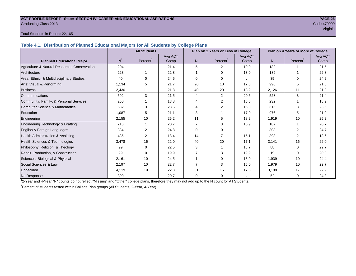#### **ACT PROFILE REPORT - State: SECTION IV, CAREER AND EDUCATIONAL ASPIRATIONS PAGE 26** Graduating Class 2013 Code 479999

# e de la construcción de la construcción de la construcción de la construcción de la construcción de la construcción

#### Total Students in Report: 22,165

**Table 4.1. Distribution of Planned Educational Majors for All Students by College Plans**

|                                              | <b>All Students</b> |                      |         | Plan on 2 Years or Less of College |                      |         | Plan on 4 Years or More of College |                      |         |
|----------------------------------------------|---------------------|----------------------|---------|------------------------------------|----------------------|---------|------------------------------------|----------------------|---------|
|                                              |                     |                      | Avg ACT |                                    |                      | Avg ACT |                                    |                      | Avg ACT |
| <b>Planned Educational Major</b>             | N <sup>1</sup>      | Percent <sup>2</sup> | Comp    | N <sub>1</sub>                     | Percent <sup>2</sup> | Comp    | N                                  | Percent <sup>2</sup> | Comp    |
| Agriculture & Natural Resources Conservation | 204                 |                      | 21.4    | 5                                  | 2                    | 19.0    | 182                                |                      | 21.5    |
| Architecture                                 | 223                 |                      | 22.8    |                                    | $\Omega$             | 13.0    | 189                                |                      | 22.8    |
| Area, Ethnic, & Multidisciplinary Studies    | 40                  | $\Omega$             | 24.5    | $\Omega$                           | $\Omega$             | $\cdot$ | 35                                 | $\Omega$             | 24.2    |
| Arts: Visual & Performing                    | 1,134               | 5                    | 21.7    | 20                                 | 10                   | 17.6    | 996                                | 5                    | 21.8    |
| <b>Business</b>                              | 2,430               | 11                   | 21.8    | 40                                 | 20                   | 18.2    | 2,126                              | 11                   | 21.8    |
| Communications                               | 592                 | 3                    | 21.5    | 4                                  | 2                    | 20.5    | 528                                | 3                    | 21.4    |
| Community, Family, & Personal Services       | 250                 |                      | 18.8    | 4                                  | 2                    | 15.5    | 232                                |                      | 18.9    |
| Computer Science & Mathematics               | 682                 | 3                    | 23.6    | Δ                                  | 2                    | 16.8    | 615                                | 3                    | 23.6    |
| Education                                    | 1,087               | 5                    | 21.1    | 3                                  |                      | 17.0    | 976                                | 5                    | 21.0    |
| Engineering                                  | 2,155               | 10                   | 25.2    | 11                                 | 5                    | 18.2    | 1,919                              | 10                   | 25.2    |
| Engineering Technology & Drafting            | 216                 | 1                    | 20.7    | $\overline{7}$                     | 3                    | 15.9    | 187                                | 1                    | 20.7    |
| English & Foreign Languages                  | 334                 | 2                    | 24.8    | $\Omega$                           | $\Omega$             |         | 308                                | 2                    | 24.7    |
| <b>Health Administration &amp; Assisting</b> | 435                 | 2                    | 18.4    | 14                                 | $\overline{7}$       | 15.1    | 393                                | 2                    | 18.6    |
| Health Sciences & Technologies               | 3,478               | 16                   | 22.0    | 40                                 | 20                   | 17.1    | 3,141                              | 16                   | 22.0    |
| Philosophy, Religion, & Theology             | 99                  | $\Omega$             | 22.5    | 3                                  |                      | 18.7    | 88                                 | $\Omega$             | 22.7    |
| Repair, Production, & Construction           | 29                  | $\Omega$             | 19.9    | $\overline{7}$                     | 3                    | 19.9    | 19                                 | $\Omega$             | 20.0    |
| Sciences: Biological & Physical              | 2,161               | 10                   | 24.5    |                                    | $\Omega$             | 13.0    | 1,939                              | 10                   | 24.4    |
| Social Sciences & Law                        | 2,197               | 10                   | 22.7    |                                    | 3                    | 15.0    | 1,979                              | 10                   | 22.7    |
| <b>Undecided</b>                             | 4,119               | 19                   | 22.8    | 31                                 | 15                   | 17.5    | 3,188                              | 17                   | 22.9    |
| No Response                                  | 300                 |                      | 20.7    | $\Omega$                           | $\mathbf 0$          |         | 52                                 | 0                    | 24.3    |

1 2-Year and 4-Year "N" counts do not reflect "Missing" and "Other" college plans, therefore they may not add up to the N count for All Students.

<sup>2</sup> Percent of students tested within College Plan groups (All Students, 2-Year, 4-Year).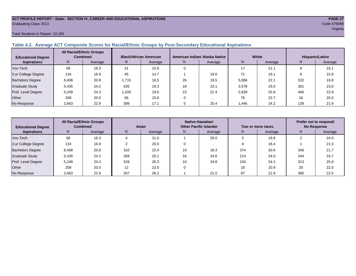### **ACT PROFILE REPORT - State: SECTION IV, CAREER AND EDUCATIONAL ASPIRATIONS PAGE 27** Graduating Class 2013 Code 479999

#### Total Students in Report: 22,165

#### **Table 4.2. Average ACT Composite Scores for Racial/Ethnic Groups by Post-Secondary Educational Aspirations**

| <b>All Racial/Ethnic Groups</b><br><b>Combined</b><br><b>Educational Degree</b> |       |         | <b>Black/African American</b> |         | American Indian/ Alaska Native |         | White  | Hispanic/Latino |     |         |
|---------------------------------------------------------------------------------|-------|---------|-------------------------------|---------|--------------------------------|---------|--------|-----------------|-----|---------|
| <b>Aspirations</b>                                                              | N.    | Average | N.                            | Average | N.                             | Average | N      | Average         | N.  | Average |
| Voc-Tech                                                                        | 68    | 18.3    | 31                            | 15.6    |                                |         | 17     | 21.1            |     | 18.1    |
| 2-yr College Degree                                                             | 134   | 16.9    | 45                            | 14.7    |                                | 19.0    |        | 18.1            |     | 15.8    |
| <b>Bachelors Degree</b>                                                         | 8.408 | 20.8    | 1.715                         | 16.5    | 26                             | 19.5    | 5,086  | 22.1            | 532 | 19.8    |
| <b>Graduate Study</b>                                                           | 5.435 | 24.2    | 635                           | 19.3    | 18                             | 23.1    | 3,578  | 25.0            | 361 | 23.6    |
| Prof. Level Degree                                                              | 5.249 | 24.3    | 1.026                         | 19.6    | 23                             | 22.4    | 2,639  | 25.8            | 466 | 22.9    |
| Other                                                                           | 208   | 20.0    | 66                            | 15.6    |                                |         | 76     | 22.7            | 16  | 20.0    |
| No Response                                                                     | 2,663 | 22.9    | 398                           | 17.1    |                                | 20.4    | 446. ا | 24.2            | 139 | 21.9    |

| <b>All Racial/Ethnic Groups</b><br><b>Combined</b><br><b>Educational Degree</b> |       | Asian   |     |         | <b>Native Hawaiian/</b><br><b>Other Pacific Islander</b> |         | Two or more races | Prefer not to respond/<br><b>No Response</b> |     |         |
|---------------------------------------------------------------------------------|-------|---------|-----|---------|----------------------------------------------------------|---------|-------------------|----------------------------------------------|-----|---------|
| <b>Aspirations</b>                                                              | N     | Average | N   | Average | N.                                                       | Average | N,                | Average                                      | Ν   | Average |
| Voc-Tech                                                                        | 68    | 18.3    |     | 21.0    |                                                          | 29.0    |                   | 18.8                                         |     | 24.0    |
| 2-yr College Degree                                                             | 134   | 16.9    |     | 20.0    |                                                          |         |                   | 18.4                                         |     | 21.0    |
| <b>Bachelors Degree</b>                                                         | 8,408 | 20.8    | 310 | 22.4    | 19                                                       | 18.3    | 374               | 20.6                                         | 346 | 21.7    |
| <b>Graduate Study</b>                                                           | 5,435 | 24.2    | 269 | 25.1    | 16                                                       | 24.6    | 214               | 24.0                                         | 344 | 24.7    |
| Prof. Level Degree                                                              | 5,249 | 24.3    | 529 | 26.3    | 10                                                       | 24.8    | 243               | 24.2                                         | 313 | 25.9    |
| Other                                                                           | 208   | 20.0    | 12  | 22.5    |                                                          |         | 18                | 20.9                                         | 20  | 22.0    |
| No Response                                                                     | 2,663 | 22.9    | 207 | 26.2    |                                                          | 21.0    | 87                | 21.8                                         | 380 | 22.5    |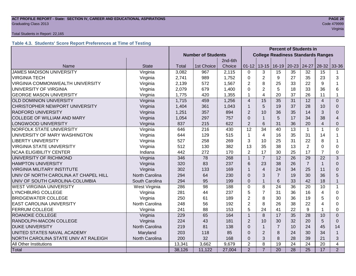# **ACT PROFILE REPORT - State: SECTION IV, CAREER AND EDUCATIONAL ASPIRATIONS PAGE 28** Graduating Class 2013 Code 479999

#### Total Students in Report: 22,165

#### **Table 4.3. Students' Score Report Preferences at Time of Testing**

|                                         |                |                           |            |         | <b>Percent of Students in</b> |                                           |                 |                 |                 |                |                |
|-----------------------------------------|----------------|---------------------------|------------|---------|-------------------------------|-------------------------------------------|-----------------|-----------------|-----------------|----------------|----------------|
|                                         |                | <b>Number of Students</b> |            |         |                               | <b>College Readiness Standards Ranges</b> |                 |                 |                 |                |                |
|                                         |                |                           |            | 2nd-6th |                               |                                           |                 |                 |                 |                |                |
| Name                                    | <b>State</b>   | Total                     | 1st Choice | Choice  | $01 - 12$                     | $13 - 15$                                 | $16-19$         | $20 - 23$       | 24-27           | $28-32$        | 33-36          |
| <b>JAMES MADISON UNIVERSITY</b>         | Virginia       | 3,082                     | 967        | 2,115   | $\Omega$                      | 3                                         | 15              | 35              | 32              | 15             | 1              |
| <b>VIRGINIA TECH</b>                    | Virginia       | 2,741                     | 989        | 1,752   | $\Omega$                      | $\overline{2}$                            | 9               | 27              | 35              | 23             | 3              |
| <b>VIRGINIA COMMONWEALTH UNIVERSITY</b> | Virginia       | 2,139                     | 572        | 1,567   | 2                             | 8                                         | 25              | 33              | 22              | 9              |                |
| UNIVERSITY OF VIRGINIA                  | Virginia       | 2,079                     | 679        | 1,400   | 0                             | $\overline{2}$                            | 5               | 18              | 33              | 36             | 6              |
| <b>GEORGE MASON UNIVERSITY</b>          | Virginia       | 1,775                     | 420        | 1,355   | 1                             | $\overline{\mathbf{4}}$                   | 20              | 37              | 26              | 11             | 1              |
| <b>OLD DOMINION UNIVERSITY</b>          | Virginia       | 1,715                     | 459        | 1,256   | $\overline{4}$                | 15                                        | 35              | 31              | 12              | $\overline{4}$ | $\Omega$       |
| CHRISTOPHER NEWPORT UNIVERSITY          | Virginia       | 1,404                     | 361        | 1,043   | 1                             | 5                                         | 19              | 37              | 28              | 10             | $\Omega$       |
| <b>RADFORD UNIVERSITY</b>               | Virginia       | 1,251                     | 357        | 894     | $\overline{2}$                | 10                                        | 36              | 35              | 14              | 3              | $\Omega$       |
| <b>COLLEGE OF WILLIAM AND MARY</b>      | Virginia       | 1,054                     | 297        | 757     | $\Omega$                      | $\mathbf{1}$                              | 5               | 17              | 34              | 38             | 4              |
| LONGWOOD UNIVERSITY                     | Virginia       | 837                       | 215        | 622     | $\overline{2}$                | 6                                         | 31              | 36              | 20              | $\overline{4}$ | 0              |
| NORFOLK STATE UNIVERSITY                | Virginia       | 646                       | 216        | 430     | $\overline{12}$               | 34                                        | 40              | 13              | $\mathbf{1}$    | 1              | $\Omega$       |
| UNIVERSITY OF MARY WASHINGTON           | Virginia       | 644                       | 129        | 515     | 1                             | $\overline{4}$                            | 16              | 35              | 31              | 14             |                |
| <b>LIBERTY UNIVERSITY</b>               | Virginia       | 527                       | 258        | 269     | 3                             | 10                                        | 25              | 31              | 22              | 8              |                |
| <b>VIRGINIA STATE UNIVERSITY</b>        | Virginia       | 512                       | 130        | 382     | 13                            | 35                                        | 38              | 13              | $\overline{2}$  | $\Omega$       | 0              |
| <b>NCAA ELIGIBILITY CENTER</b>          | Indiana        | 442                       | 272        | 170     | $\overline{2}$                | 17                                        | 30              | 25              | 17              | 7              | 0              |
| UNIVERSITY OF RICHMOND                  | Virginia       | 346                       | 78         | 268     | 1                             | $\overline{7}$                            | 12              | 26              | 29              | 22             | 3              |
| <b>HAMPTON UNIVERSITY</b>               | Virginia       | 320                       | 83         | 237     | 6                             | 23                                        | 38              | 26              | $\overline{7}$  |                | $\Omega$       |
| <b>VIRGINIA MILITARY INSTITUTE</b>      | Virginia       | 302                       | 133        | 169     |                               | $\overline{4}$                            | 24              | 34              | 25              | 11             | $\Omega$       |
| UNIV OF NORTH CAROLINA AT CHAPEL HILL   | North Carolina | 294                       | 64         | 230     | $\Omega$                      | 3                                         | $\overline{7}$  | 19              | 30              | 36             | 5              |
| UNIV OF SOUTH CAROLINA-COLUMBIA         | South Carolina | 294                       | 95         | 199     | $\overline{0}$                | $\mathbf{1}$                              | 6               | 33              | 42              | 18             | $\mathbf{1}$   |
| <b>WEST VIRGINIA UNIVERSITY</b>         | West Virginia  | 286                       | 98         | 188     | $\mathbf 0$                   | 8                                         | 24              | 36              | 20              | 10             | 1              |
| <b>LYNCHBURG COLLEGE</b>                | Virginia       | 281                       | 44         | 237     | 5                             | $\overline{7}$                            | 31              | 36              | 16              | 4              | 0              |
| <b>BRIDGEWATER COLLEGE</b>              | Virginia       | 250                       | 61         | 189     | $\overline{2}$                | 8                                         | 30              | 36              | 19              | 5              | 0              |
| <b>EAST CAROLINA UNIVERSITY</b>         | North Carolina | 248                       | 56         | 192     | $\overline{2}$                | 8                                         | 26              | 38              | 22              | 4              | 0              |
| <b>FERRUM COLLEGE</b>                   | Virginia       | 241                       | 88         | 153     | 5                             | 24                                        | 41              | 22              | 9               |                | 0              |
| ROANOKE COLLEGE                         | Virginia       | 229                       | 65         | 164     | $\overline{1}$                | 8                                         | 17              | 35              | 28              | 10             | $\Omega$       |
| RANDOLPH-MACON COLLEGE                  | Virginia       | 224                       | 43         | 181     | $\overline{2}$                | 10                                        | 30              | 32              | 20              | 5              | $\Omega$       |
| <b>DUKE UNIVERSITY</b>                  | North Carolina | 219                       | 81         | 138     | $\Omega$                      | $\mathbf{1}$                              | $\overline{7}$  | 10              | 24              | 45             | 14             |
| UNITED STATES NAVAL ACADEMY             | Maryland       | 203                       | 118        | 85      | $\Omega$                      | $\overline{2}$                            | 8               | 24              | 30              | 34             | $\mathbf{1}$   |
| NORTH CAROLINA STATE UNIV AT RALEIGH    | North Carolina | 200                       | 32         | 168     | $\Omega$                      | 3                                         | 8               | 28              | 39              | 21             | 3              |
| All Other Institutions                  |                | 13,341                    | 3,662      | 9,679   | $\overline{2}$                | 8                                         | 19              | 24              | 24              | 20             | 4              |
| Total                                   |                | 38,126                    | 11,122     | 27,004  | $\overline{2}$                | $\overline{7}$                            | $\overline{20}$ | $\overline{28}$ | $\overline{25}$ | 17             | $\overline{2}$ |

e e de la construcción de la construcción de la construcción de la construcción de la construcción de la construcción<br>Virginia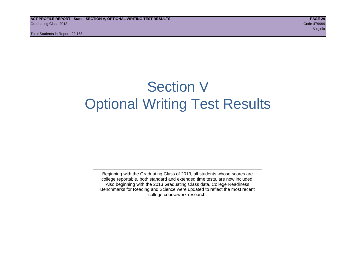# Section V Optional Writing Test Results

Beginning with the Graduating Class of 2013, all students whose scores are college reportable, both standard and extended time tests, are now included. Also beginning with the 2013 Graduating Class data, College Readiness Benchmarks for Reading and Science were updated to reflect the most recent college coursework research.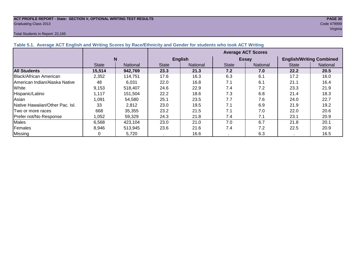# **ACT PROFILE REPORT - State: SECTION V, OPTIONAL WRITING TEST RESULTS** *PAGE 30***<br>
Graduating Class 2013 <b>Code 479999** Code 479999 Graduating Class 2013 Code 479999

#### Total Students in Report: 22,165

| <b>Average ACT Scores</b> |                 |                |                 |                               |                  |                                 |                     |  |  |  |
|---------------------------|-----------------|----------------|-----------------|-------------------------------|------------------|---------------------------------|---------------------|--|--|--|
| N                         |                 | <b>English</b> |                 |                               | <b>Essay</b>     | <b>English/Writing Combined</b> |                     |  |  |  |
| <b>State</b>              | <b>National</b> | <b>State</b>   | <b>National</b> | <b>State</b>                  | National         | <b>State</b>                    | <b>National</b>     |  |  |  |
| 15,514                    | 942,769         | 23.3           | 21.3            | 7.2                           | 7.0              | 22.2                            | 20.5                |  |  |  |
| 2,352                     | 114.751         | 17.6           | 16.3            | 6.3                           | 6.1              | 17.2                            | 16.0                |  |  |  |
| $\sqrt{2}$                | 0.001           | $\sim$ $\sim$  | $\sqrt{2}$      | $\overline{ }$ $\overline{ }$ | $\sim$ $\lambda$ | $\sim$ $\sim$                   | $\Lambda$ $\Lambda$ |  |  |  |

**Table 5.1. Average ACT English** 

|                                         | IN           |          |              | <b>ENGUSH</b>   |              | ESSAV           | <b>English Willing Complied</b> |          |  |
|-----------------------------------------|--------------|----------|--------------|-----------------|--------------|-----------------|---------------------------------|----------|--|
|                                         | <b>State</b> | National | <b>State</b> | <b>National</b> | <b>State</b> | <b>National</b> | <b>State</b>                    | National |  |
| <b>All Students</b>                     | 15,514       | 942,769  | 23.3         | 21.3            | 7.2          | 7.0             | 22.2                            | 20.5     |  |
| Black/African American                  | 2,352        | 114,751  | 17.6         | 16.3            | 6.3          | 6.1             | 17.2                            | 16.0     |  |
| <b>American Indian/Alaska Native</b>    | 48           | 6.031    | 22.0         | 16.8            | 7.1          | 6.1             | 21.1                            | 16.4     |  |
| White                                   | 9,153        | 518.407  | 24.6         | 22.9            | 7.4          | 7.2             | 23.3                            | 21.9     |  |
| Hispanic/Latino                         | .117         | 151.504  | 22.2         | 18.6            | 7.3          | 6.8             | 21.4                            | 18.3     |  |
| Asian                                   | .091 ا       | 54.580   | 25.1         | 23.5            | 7.7          | 7.6             | 24.0                            | 22.7     |  |
| <b>INative Hawaiian/Other Pac. Isl.</b> | 33           | 2.812    | 23.0         | 19.5            | 7.1          | 6.9             | 21.9                            | 19.2     |  |
| Two or more races                       | 668          | 35.355   | 23.2         | 21.5            | 7.1          | 7.0             | 22.0                            | 20.6     |  |
| Prefer not/No Response                  | 1,052        | 59,329   | 24.3         | 21.8            | 7.4          | 7.1             | 23.1                            | 20.9     |  |
| Males                                   | 6,568        | 423,104  | 23.0         | 21.0            | 7.0          | 6.7             | 21.8                            | 20.1     |  |
| Females                                 | 8.946        | 513.945  | 23.6         | 21.6            | 7.4          | 7.2             | 22.5                            | 20.9     |  |
| <b>Missing</b>                          |              | 5,720    |              | 16.6            |              | 6.3             |                                 | 16.5     |  |

# e de la construcción de la construcción de la construcción de la construcción de la construcción de la construcción